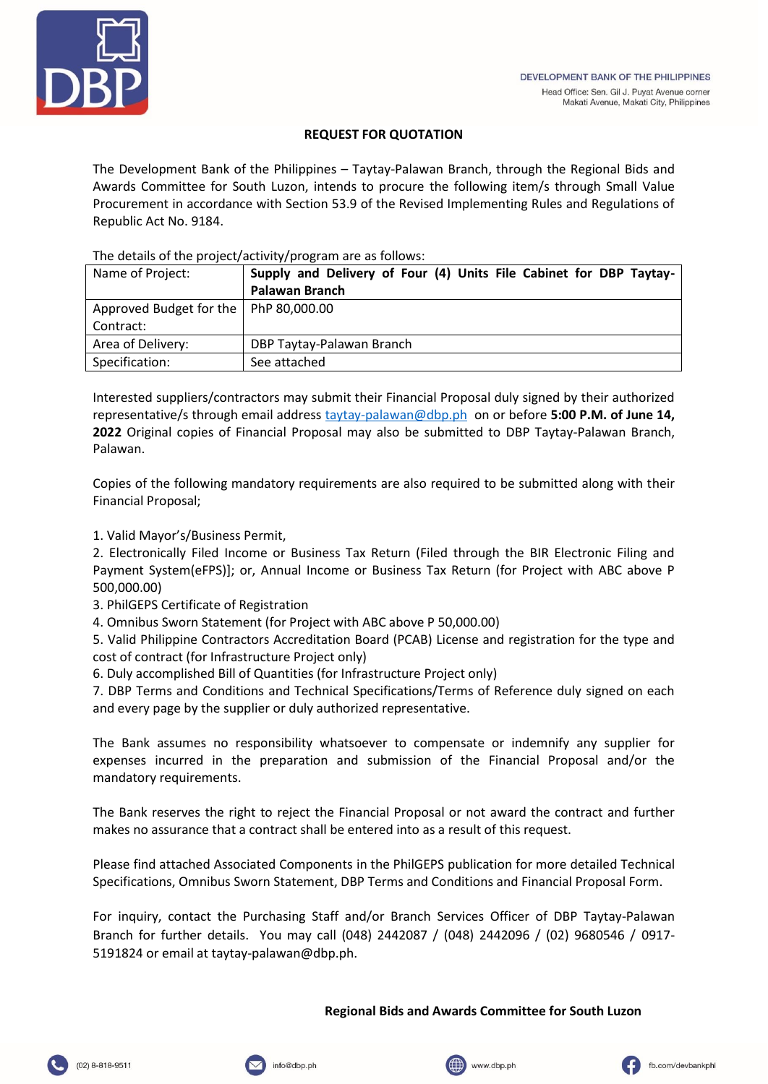

# **REQUEST FOR QUOTATION**

The Development Bank of the Philippines – Taytay-Palawan Branch, through the Regional Bids and Awards Committee for South Luzon, intends to procure the following item/s through Small Value Procurement in accordance with Section 53.9 of the Revised Implementing Rules and Regulations of Republic Act No. 9184.

# The details of the project/activity/program are as follows:

| Name of Project:                        | Supply and Delivery of Four (4) Units File Cabinet for DBP Taytay- |
|-----------------------------------------|--------------------------------------------------------------------|
|                                         | <b>Palawan Branch</b>                                              |
| Approved Budget for the   PhP 80,000.00 |                                                                    |
| Contract:                               |                                                                    |
| Area of Delivery:                       | DBP Taytay-Palawan Branch                                          |
| Specification:                          | See attached                                                       |

Interested suppliers/contractors may submit their Financial Proposal duly signed by their authorized representative/s through email address [taytay-palawan@dbp.ph](mailto:taytay-palawan@dbp.ph) on or before **5:00 P.M. of June 14, 2022** Original copies of Financial Proposal may also be submitted to DBP Taytay-Palawan Branch, Palawan.

Copies of the following mandatory requirements are also required to be submitted along with their Financial Proposal;

1. Valid Mayor's/Business Permit,

2. Electronically Filed Income or Business Tax Return (Filed through the BIR Electronic Filing and Payment System(eFPS)]; or, Annual Income or Business Tax Return (for Project with ABC above P 500,000.00)

- 3. PhilGEPS Certificate of Registration
- 4. Omnibus Sworn Statement (for Project with ABC above P 50,000.00)

5. Valid Philippine Contractors Accreditation Board (PCAB) License and registration for the type and cost of contract (for Infrastructure Project only)

6. Duly accomplished Bill of Quantities (for Infrastructure Project only)

7. DBP Terms and Conditions and Technical Specifications/Terms of Reference duly signed on each and every page by the supplier or duly authorized representative.

The Bank assumes no responsibility whatsoever to compensate or indemnify any supplier for expenses incurred in the preparation and submission of the Financial Proposal and/or the mandatory requirements.

The Bank reserves the right to reject the Financial Proposal or not award the contract and further makes no assurance that a contract shall be entered into as a result of this request.

Please find attached Associated Components in the PhilGEPS publication for more detailed Technical Specifications, Omnibus Sworn Statement, DBP Terms and Conditions and Financial Proposal Form.

For inquiry, contact the Purchasing Staff and/or Branch Services Officer of DBP Taytay-Palawan Branch for further details. You may call (048) 2442087 / (048) 2442096 / (02) 9680546 / 0917- 5191824 or email at taytay-palawan@dbp.ph.

### **Regional Bids and Awards Committee for South Luzon**





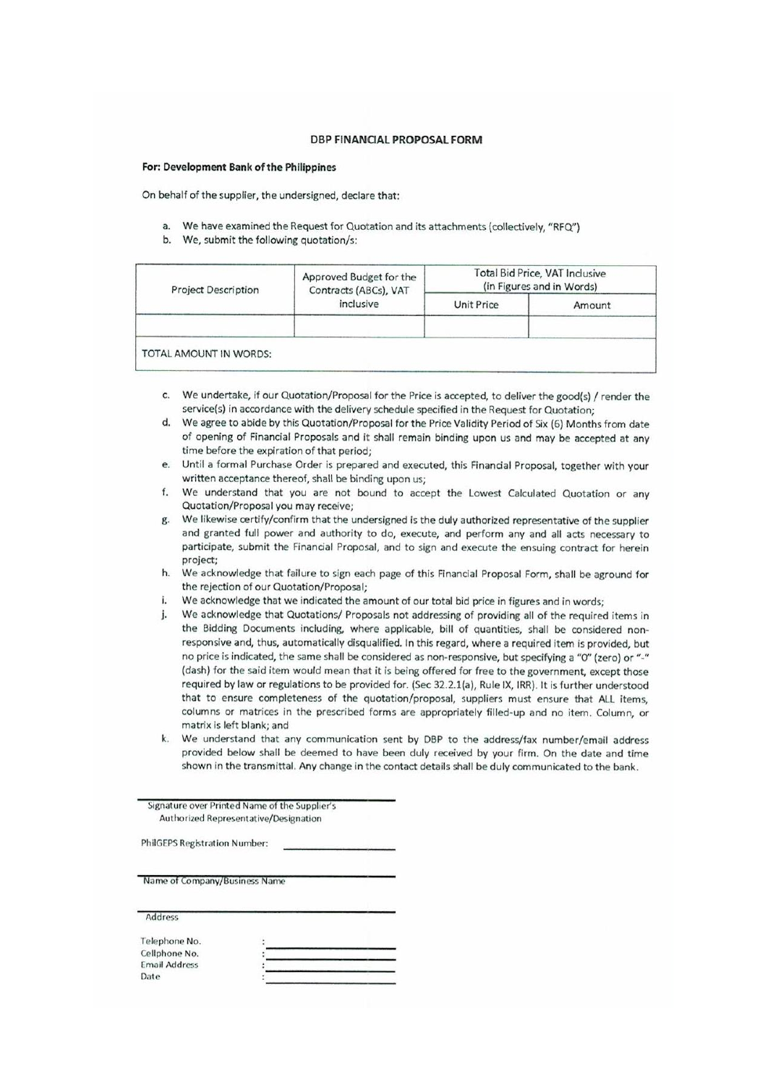#### **DBP FINANCIAL PROPOSAL FORM**

#### For: Development Bank of the Philippines

On behalf of the supplier, the undersigned, declare that:

- a. We have examined the Request for Quotation and its attachments (collectively, "RFQ")
- b. We, submit the following quotation/s:

| <b>Project Description</b> | Approved Budget for the<br>Contracts (ABCs), VAT<br>inclusive | Total Bid Price, VAT Inclusive<br>(in Figures and in Words) |        |
|----------------------------|---------------------------------------------------------------|-------------------------------------------------------------|--------|
|                            |                                                               | Unit Price                                                  | Amount |
| TOTAL AMOUNT IN WORDS:     |                                                               |                                                             |        |

- c. We undertake, if our Quotation/Proposal for the Price is accepted, to deliver the good(s) / render the service(s) in accordance with the delivery schedule specified in the Request for Quotation;
- d. We agree to abide by this Quotation/Proposal for the Price Validity Period of Six (6) Months from date of opening of Financial Proposals and it shall remain binding upon us and may be accepted at any time before the expiration of that period;
- Until a formal Purchase Order is prepared and executed, this Financial Proposal, together with your e. written acceptance thereof, shall be binding upon us;
- We understand that you are not bound to accept the Lowest Calculated Quotation or any  $f$ Quotation/Proposal you may receive;
- g. We likewise certify/confirm that the undersigned is the duly authorized representative of the supplier and granted full power and authority to do, execute, and perform any and all acts necessary to participate, submit the Financial Proposal, and to sign and execute the ensuing contract for herein project:
- h. We acknowledge that failure to sign each page of this Financial Proposal Form, shall be aground for the rejection of our Quotation/Proposal;
- We acknowledge that we indicated the amount of our total bid price in figures and in words; i.
- We acknowledge that Quotations/ Proposals not addressing of providing all of the required items in j. the Bidding Documents including, where applicable, bill of quantities, shall be considered nonresponsive and, thus, automatically disqualified. In this regard, where a required item is provided, but no price is indicated, the same shall be considered as non-responsive, but specifying a "O" (zero) or "-" (dash) for the said item would mean that it is being offered for free to the government, except those required by law or regulations to be provided for. (Sec 32.2.1(a), Rule IX, IRR). It is further understood that to ensure completeness of the quotation/proposal, suppliers must ensure that ALL items, columns or matrices in the prescribed forms are appropriately filled-up and no item. Column, or matrix is left blank; and
- We understand that any communication sent by DBP to the address/fax number/email address  $\mathbf{k}$ . provided below shall be deemed to have been duly received by your firm. On the date and time shown in the transmittal. Any change in the contact details shall be duly communicated to the bank.

Signature over Printed Name of the Supplier's Authorized Representative/Designation

**PhilGEPS Registration Number:** 

Name of Company/Business Name

Address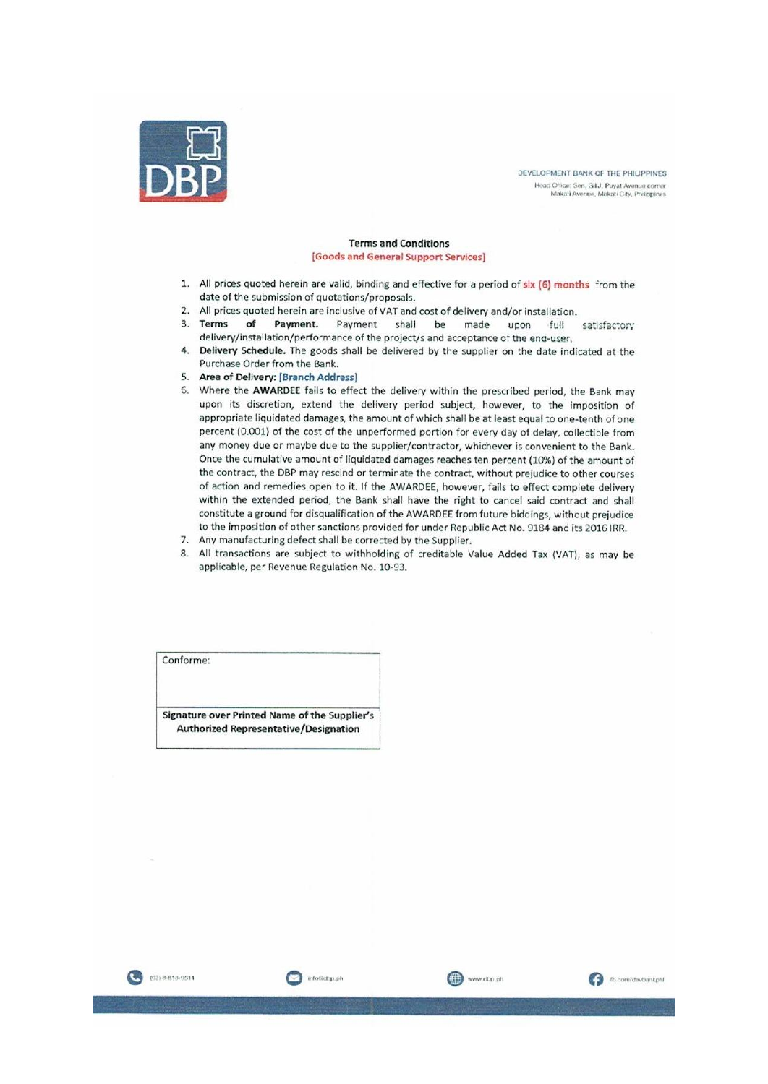

DEVELOPMENT BANK OF THE PHILIPPINES .<br> Head Office: Sen, Gil J. Puyat Avenue corner<br> Makati Avenue, Makati City, Philippines

#### **Terms and Conditions** [Goods and General Support Services]

- 1. All prices quoted herein are valid, binding and effective for a period of six (6) months from the date of the submission of quotations/proposals.
- 2. All prices quoted herein are inclusive of VAT and cost of delivery and/or installation.
- 3. Terms of Payment. Payment shall be made full upon satisfactory delivery/installation/performance of the project/s and acceptance of the end-user.
- 4. Delivery Schedule. The goods shall be delivered by the supplier on the date indicated at the Purchase Order from the Bank.
- 5. Area of Delivery: [Branch Address]
- 6. Where the AWARDEE fails to effect the delivery within the prescribed period, the Bank may upon its discretion, extend the delivery period subject, however, to the imposition of appropriate liquidated damages, the amount of which shall be at least equal to one-tenth of one percent (0.001) of the cost of the unperformed portion for every day of delay, collectible from any money due or maybe due to the supplier/contractor, whichever is convenient to the Bank. Once the cumulative amount of liquidated damages reaches ten percent (10%) of the amount of the contract, the DBP may rescind or terminate the contract, without prejudice to other courses of action and remedies open to it. If the AWARDEE, however, fails to effect complete delivery within the extended period, the Bank shall have the right to cancel said contract and shall constitute a ground for disqualification of the AWARDEE from future biddings, without prejudice to the imposition of other sanctions provided for under Republic Act No. 9184 and its 2016 IRR.
- 7. Any manufacturing defect shall be corrected by the Supplier.

info@clbp.ph

8. All transactions are subject to withholding of creditable Value Added Tax (VAT), as may be applicable, per Revenue Regulation No. 10-93.

www.dbp.ph

**D** com/devbankph

Conforme:

Signature over Printed Name of the Supplier's **Authorized Representative/Designation** 

(02) 8-818-9511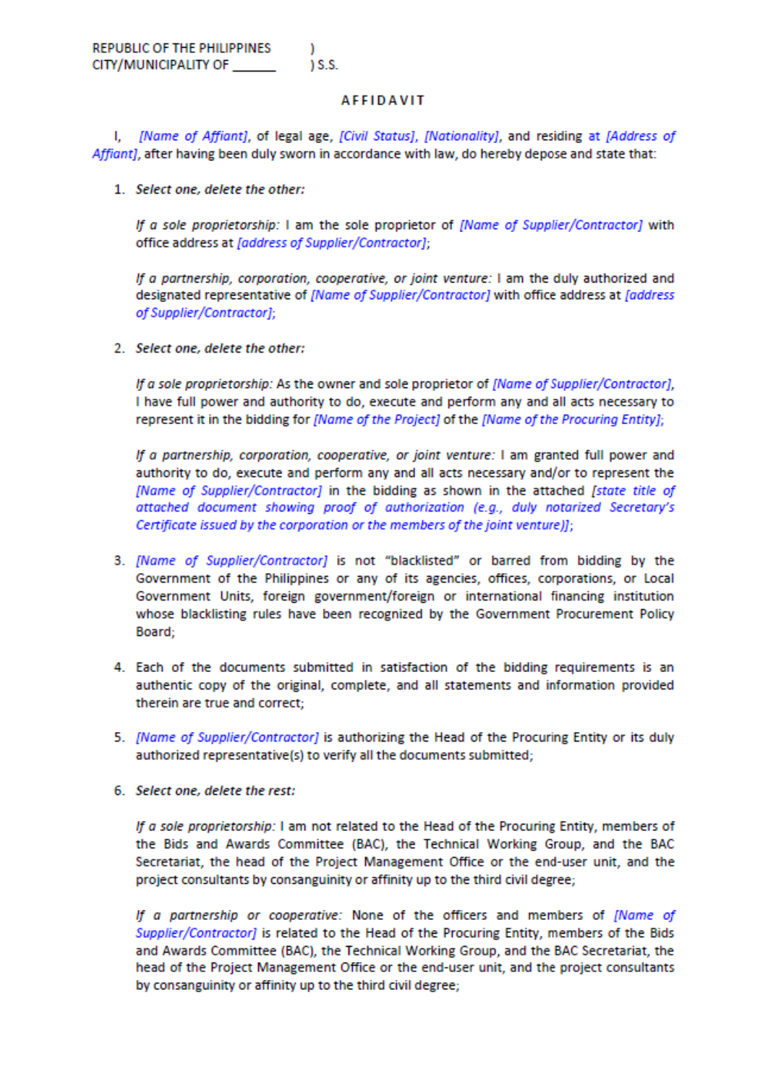### **AFFIDAVIT**

I. *[Name of Affiant]*, of legal age, [Civil Status], [Nationality], and residing at [Address of Affiant], after having been duly sworn in accordance with law, do hereby depose and state that:

1. Select one, delete the other:

If a sole proprietorship: I am the sole proprietor of [Name of Supplier/Contractor] with office address at [address of Supplier/Contractor];

If a partnership, corporation, cooperative, or joint venture: I am the duly authorized and designated representative of [Name of Supplier/Contractor] with office address at [address of Supplier/Contractor];

2. Select one, delete the other:

If a sole proprietorship: As the owner and sole proprietor of [Name of Supplier/Contractor], I have full power and authority to do, execute and perform any and all acts necessary to represent it in the bidding for [Name of the Project] of the [Name of the Procuring Entity];

If a partnership, corporation, cooperative, or joint venture: I am granted full power and authority to do, execute and perform any and all acts necessary and/or to represent the [Name of Supplier/Contractor] in the bidding as shown in the attached [state title of attached document showing proof of authorization (e.g., duly notarized Secretary's Certificate issued by the corporation or the members of the joint venture)];

- 3. [Name of Supplier/Contractor] is not "blacklisted" or barred from bidding by the Government of the Philippines or any of its agencies, offices, corporations, or Local Government Units, foreign government/foreign or international financing institution whose blacklisting rules have been recognized by the Government Procurement Policy Board;
- 4. Each of the documents submitted in satisfaction of the bidding requirements is an authentic copy of the original, complete, and all statements and information provided therein are true and correct;
- 5. [Name of Supplier/Contractor] is authorizing the Head of the Procuring Entity or its duly authorized representative(s) to verify all the documents submitted;
- 6. Select one, delete the rest:

If a sole proprietorship: I am not related to the Head of the Procuring Entity, members of the Bids and Awards Committee (BAC), the Technical Working Group, and the BAC Secretariat, the head of the Project Management Office or the end-user unit, and the project consultants by consanguinity or affinity up to the third civil degree;

If a partnership or cooperative: None of the officers and members of [Name of Supplier/Contractor] is related to the Head of the Procuring Entity, members of the Bids and Awards Committee (BAC), the Technical Working Group, and the BAC Secretariat, the head of the Project Management Office or the end-user unit, and the project consultants by consanguinity or affinity up to the third civil degree;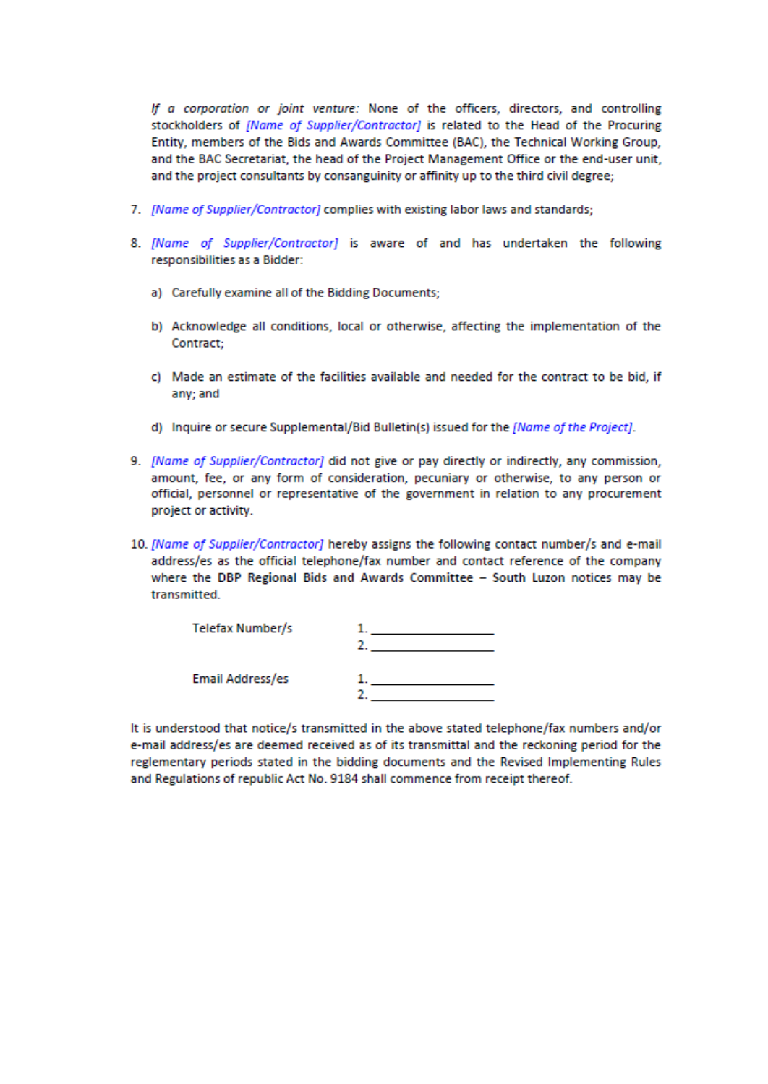If a corporation or joint venture: None of the officers, directors, and controlling stockholders of *[Name of Supplier/Contractor]* is related to the Head of the Procuring Entity, members of the Bids and Awards Committee (BAC), the Technical Working Group, and the BAC Secretariat, the head of the Project Management Office or the end-user unit, and the project consultants by consanguinity or affinity up to the third civil degree;

- 7. [Name of Supplier/Contractor] complies with existing labor laws and standards;
- 8. [Name of Supplier/Contractor] is aware of and has undertaken the following responsibilities as a Bidder:
	- a) Carefully examine all of the Bidding Documents;
	- b) Acknowledge all conditions, local or otherwise, affecting the implementation of the Contract:
	- c) Made an estimate of the facilities available and needed for the contract to be bid, if any: and
	- d) Inquire or secure Supplemental/Bid Bulletin(s) issued for the [Name of the Project].
- 9. [Name of Supplier/Contractor] did not give or pay directly or indirectly, any commission, amount, fee, or any form of consideration, pecuniary or otherwise, to any person or official, personnel or representative of the government in relation to any procurement project or activity.
- 10. [Name of Supplier/Contractor] hereby assigns the following contact number/s and e-mail address/es as the official telephone/fax number and contact reference of the company where the DBP Regional Bids and Awards Committee - South Luzon notices may be transmitted.

| Telefax Number/s |  |
|------------------|--|
| Email Address/es |  |

It is understood that notice/s transmitted in the above stated telephone/fax numbers and/or e-mail address/es are deemed received as of its transmittal and the reckoning period for the reglementary periods stated in the bidding documents and the Revised Implementing Rules and Regulations of republic Act No. 9184 shall commence from receipt thereof.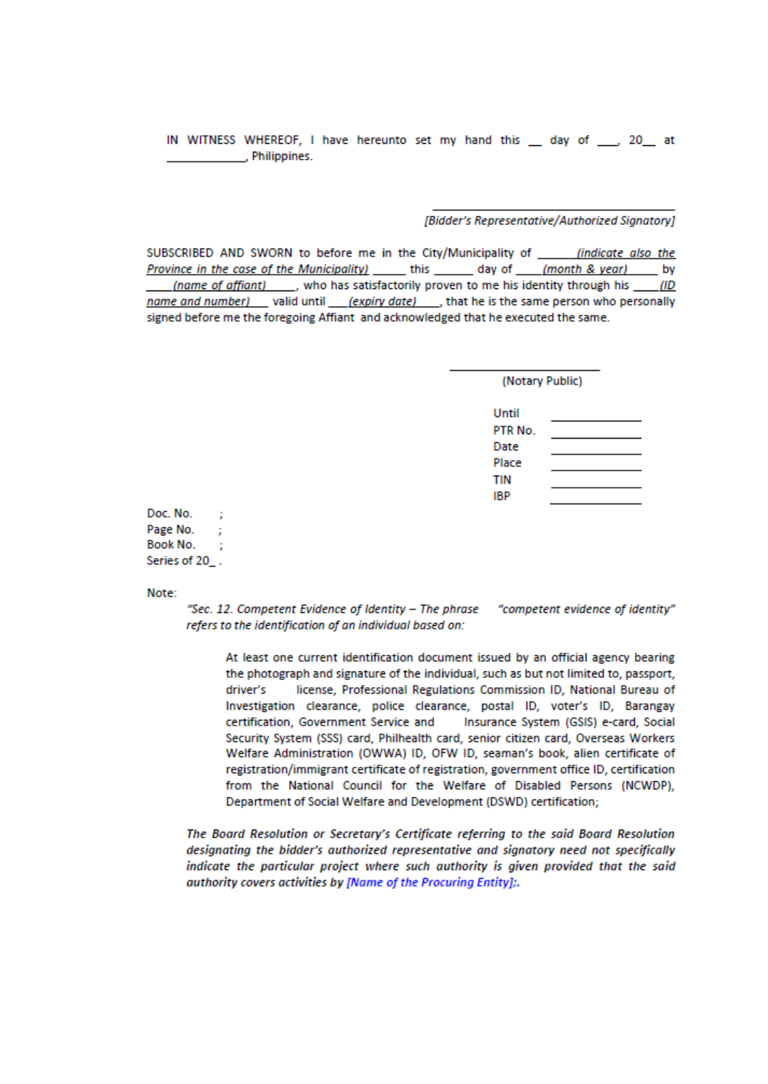IN WITNESS WHEREOF, I have hereunto set my hand this day of , 20 at Philippines.

### [Bidder's Representative/Authorized Signatorv]

SUBSCRIBED AND SWORN to before me in the City/Municipality of \_\_\_\_\_\_\_ (indicate also the Province in the case of the Municipality) \_\_\_\_\_\_\_ this \_\_\_\_\_\_\_\_ day of \_\_\_\_\_ (month & year) \_\_\_\_\_\_ by *(name of affiant)* \_\_\_\_, who has satisfactorily proven to me his identity through his \_\_\_\_\_ (ID name and number) \_\_ valid until \_\_\_\_\_(expiry date) \_\_\_\_\_, that he is the same person who personally signed before me the foregoing Affiant and acknowledged that he executed the same.

| (Notary Public) |  |  |
|-----------------|--|--|
|                 |  |  |

| Until   |  |
|---------|--|
| PTR No. |  |
| Date    |  |
| Place   |  |
| TIN     |  |
| IBP     |  |
|         |  |

Doc. No. ; Page No. : Book No. Series of 20\_.

Note:

"Sec. 12. Competent Evidence of Identity - The phrase "competent evidence of identity" refers to the identification of an individual based on:

At least one current identification document issued by an official agency bearing the photograph and signature of the individual, such as but not limited to, passport, license, Professional Regulations Commission ID, National Bureau of driver's Investigation clearance, police clearance, postal ID, voter's ID, Barangay certification, Government Service and Insurance System (GSIS) e-card, Social Security System (SSS) card, Philhealth card, senior citizen card, Overseas Workers Welfare Administration (OWWA) ID, OFW ID, seaman's book, alien certificate of registration/immigrant certificate of registration, government office ID, certification from the National Council for the Welfare of Disabled Persons (NCWDP), Department of Social Welfare and Development (DSWD) certification;

The Board Resolution or Secretary's Certificate referring to the said Board Resolution designating the bidder's authorized representative and signatory need not specifically indicate the particular project where such authority is given provided that the said authority covers activities by [Name of the Procuring Entity];.